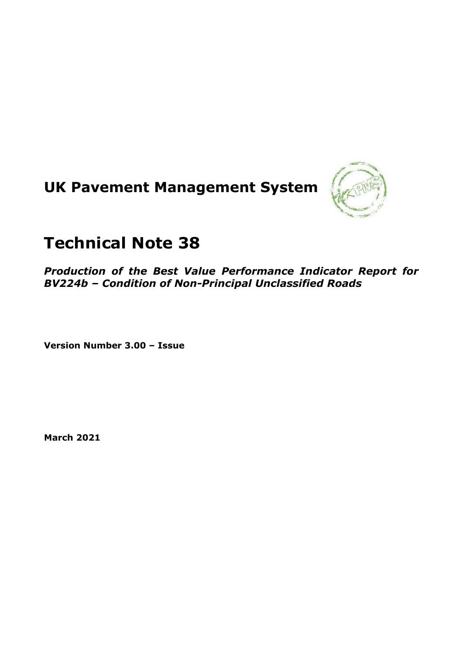# **UK Pavement Management System**



## **Technical Note 38**

*Production of the Best Value Performance Indicator Report for BV224b – Condition of Non-Principal Unclassified Roads*

**Version Number 3.00 – Issue**

**March 2021**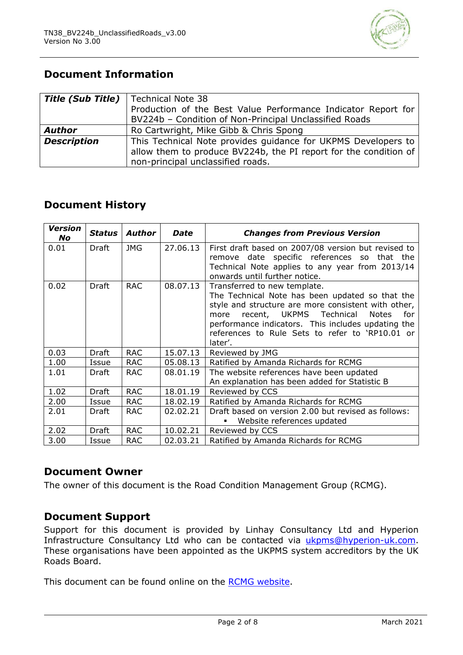

## **Document Information**

| <b>Title (Sub Title)</b> | Technical Note 38                                                                                                       |
|--------------------------|-------------------------------------------------------------------------------------------------------------------------|
|                          | Production of the Best Value Performance Indicator Report for<br>BV224b - Condition of Non-Principal Unclassified Roads |
|                          |                                                                                                                         |
| <b>Author</b>            | Ro Cartwright, Mike Gibb & Chris Spong                                                                                  |
| <b>Description</b>       | This Technical Note provides guidance for UKPMS Developers to                                                           |
|                          | allow them to produce BV224b, the PI report for the condition of                                                        |
|                          | non-principal unclassified roads.                                                                                       |

## **Document History**

| <b>Version</b><br><b>No</b> | <b>Status</b> | Author     | <b>Date</b> | <b>Changes from Previous Version</b>                                                                                                                                                                                                                                                                                 |
|-----------------------------|---------------|------------|-------------|----------------------------------------------------------------------------------------------------------------------------------------------------------------------------------------------------------------------------------------------------------------------------------------------------------------------|
| 0.01                        | Draft         | <b>JMG</b> | 27.06.13    | First draft based on 2007/08 version but revised to<br>remove date specific references so that the<br>Technical Note applies to any year from 2013/14<br>onwards until further notice.                                                                                                                               |
| 0.02                        | Draft         | <b>RAC</b> | 08.07.13    | Transferred to new template.<br>The Technical Note has been updated so that the<br>style and structure are more consistent with other,<br>recent, UKPMS Technical<br><b>Notes</b><br>for<br>more<br>performance indicators. This includes updating the<br>references to Rule Sets to refer to 'RP10.01 or<br>later'. |
| 0.03                        | Draft         | <b>RAC</b> | 15.07.13    | Reviewed by JMG                                                                                                                                                                                                                                                                                                      |
| 1.00                        | Issue         | <b>RAC</b> | 05.08.13    | Ratified by Amanda Richards for RCMG                                                                                                                                                                                                                                                                                 |
| 1.01                        | Draft         | <b>RAC</b> | 08.01.19    | The website references have been updated<br>An explanation has been added for Statistic B                                                                                                                                                                                                                            |
| 1.02                        | <b>Draft</b>  | <b>RAC</b> | 18.01.19    | Reviewed by CCS                                                                                                                                                                                                                                                                                                      |
| 2.00                        | Issue         | <b>RAC</b> | 18.02.19    | Ratified by Amanda Richards for RCMG                                                                                                                                                                                                                                                                                 |
| 2.01                        | Draft         | <b>RAC</b> | 02.02.21    | Draft based on version 2.00 but revised as follows:<br>Website references updated                                                                                                                                                                                                                                    |
| 2.02                        | <b>Draft</b>  | <b>RAC</b> | 10.02.21    | Reviewed by CCS                                                                                                                                                                                                                                                                                                      |
| 3.00                        | Issue         | <b>RAC</b> | 02.03.21    | Ratified by Amanda Richards for RCMG                                                                                                                                                                                                                                                                                 |

## **Document Owner**

The owner of this document is the Road Condition Management Group (RCMG).

## **Document Support**

Support for this document is provided by Linhay Consultancy Ltd and Hyperion Infrastructure Consultancy Ltd who can be contacted via [ukpms@hyperion-uk.com.](mailto:ukpms@hyperion-uk.com) These organisations have been appointed as the UKPMS system accreditors by the UK Roads Board.

This document can be found online on the [RCMG website.](https://www.ciht.org.uk/ukrlg-home/guidance/road-condition-information/data-management/uk-pavement-management-system-ukpms/)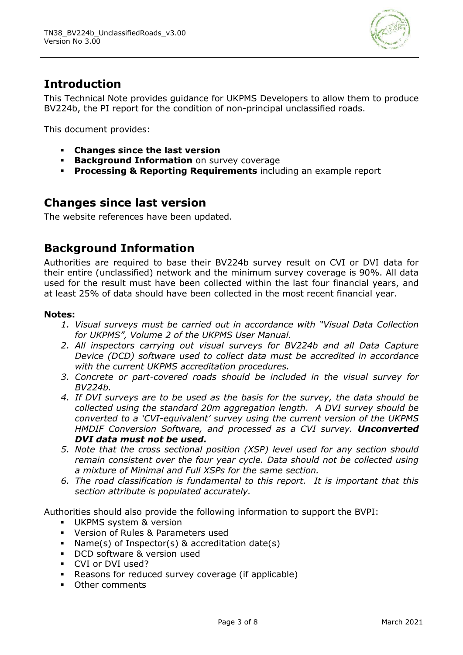

## **Introduction**

This Technical Note provides guidance for UKPMS Developers to allow them to produce BV224b, the PI report for the condition of non-principal unclassified roads.

This document provides:

- **Changes since the last version**
- **Background Information** on survey coverage
- **Processing & Reporting Requirements** including an example report

## **Changes since last version**

The website references have been updated.

## **Background Information**

Authorities are required to base their BV224b survey result on CVI or DVI data for their entire (unclassified) network and the minimum survey coverage is 90%. All data used for the result must have been collected within the last four financial years, and at least 25% of data should have been collected in the most recent financial year.

#### **Notes:**

- *1. Visual surveys must be carried out in accordance with "Visual Data Collection for UKPMS", Volume 2 of the UKPMS User Manual.*
- *2. All inspectors carrying out visual surveys for BV224b and all Data Capture Device (DCD) software used to collect data must be accredited in accordance with the current UKPMS accreditation procedures.*
- *3. Concrete or part-covered roads should be included in the visual survey for BV224b.*
- *4. If DVI surveys are to be used as the basis for the survey, the data should be collected using the standard 20m aggregation length. A DVI survey should be converted to a 'CVI-equivalent' survey using the current version of the UKPMS HMDIF Conversion Software, and processed as a CVI survey. Unconverted DVI data must not be used.*
- *5. Note that the cross sectional position (XSP) level used for any section should remain consistent over the four year cycle. Data should not be collected using a mixture of Minimal and Full XSPs for the same section.*
- *6. The road classification is fundamental to this report. It is important that this section attribute is populated accurately.*

Authorities should also provide the following information to support the BVPI:

- UKPMS system & version
- Version of Rules & Parameters used
- Name(s) of Inspector(s) & accreditation date(s)
- DCD software & version used
- CVI or DVI used?
- Reasons for reduced survey coverage (if applicable)
- Other comments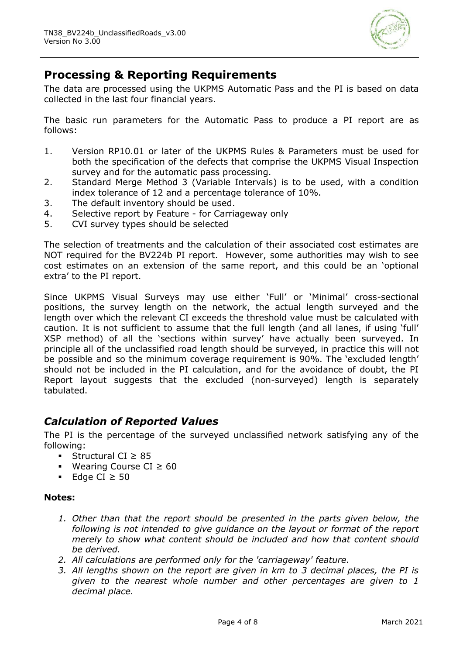

## **Processing & Reporting Requirements**

The data are processed using the UKPMS Automatic Pass and the PI is based on data collected in the last four financial years.

The basic run parameters for the Automatic Pass to produce a PI report are as follows:

- 1. Version RP10.01 or later of the UKPMS Rules & Parameters must be used for both the specification of the defects that comprise the UKPMS Visual Inspection survey and for the automatic pass processing.
- 2. Standard Merge Method 3 (Variable Intervals) is to be used, with a condition index tolerance of 12 and a percentage tolerance of 10%.
- 3. The default inventory should be used.
- 4. Selective report by Feature for Carriageway only
- 5. CVI survey types should be selected

The selection of treatments and the calculation of their associated cost estimates are NOT required for the BV224b PI report. However, some authorities may wish to see cost estimates on an extension of the same report, and this could be an 'optional extra' to the PI report.

Since UKPMS Visual Surveys may use either 'Full' or 'Minimal' cross-sectional positions, the survey length on the network, the actual length surveyed and the length over which the relevant CI exceeds the threshold value must be calculated with caution. It is not sufficient to assume that the full length (and all lanes, if using 'full' XSP method) of all the 'sections within survey' have actually been surveyed. In principle all of the unclassified road length should be surveyed, in practice this will not be possible and so the minimum coverage requirement is 90%. The 'excluded length' should not be included in the PI calculation, and for the avoidance of doubt, the PI Report layout suggests that the excluded (non-surveyed) length is separately tabulated.

## *Calculation of Reported Values*

The PI is the percentage of the surveyed unclassified network satisfying any of the following:

- Structural CI ≥ 85
- Wearing Course CI ≥ 60
- Edge CI  $\geq$  50

#### **Notes:**

- *1. Other than that the report should be presented in the parts given below, the following is not intended to give guidance on the layout or format of the report merely to show what content should be included and how that content should be derived.*
- *2. All calculations are performed only for the 'carriageway' feature.*
- *3. All lengths shown on the report are given in km to 3 decimal places, the PI is given to the nearest whole number and other percentages are given to 1 decimal place.*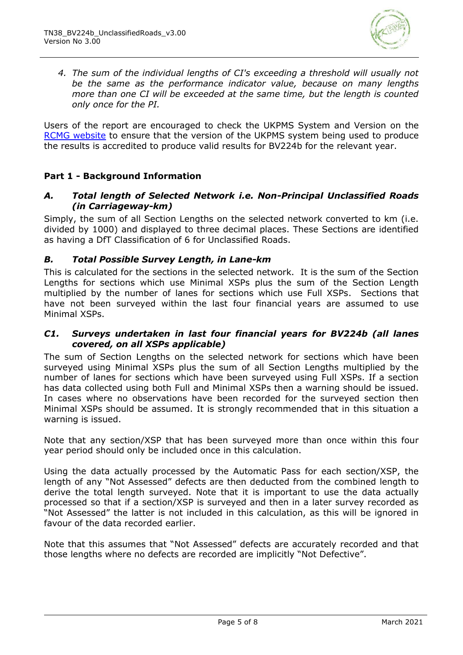

*4. The sum of the individual lengths of CI's exceeding a threshold will usually not be the same as the performance indicator value, because on many lengths more than one CI will be exceeded at the same time, but the length is counted only once for the PI.*

Users of the report are encouraged to check the UKPMS System and Version on the [RCMG website](https://www.ciht.org.uk/ukrlg-home/guidance/road-condition-information/data-management/uk-pavement-management-system-ukpms/) to ensure that the version of the UKPMS system being used to produce the results is accredited to produce valid results for BV224b for the relevant year.

#### **Part 1 - Background Information**

#### *A. Total length of Selected Network i.e. Non-Principal Unclassified Roads (in Carriageway-km)*

Simply, the sum of all Section Lengths on the selected network converted to km (i.e. divided by 1000) and displayed to three decimal places. These Sections are identified as having a DfT Classification of 6 for Unclassified Roads.

#### *B. Total Possible Survey Length, in Lane-km*

This is calculated for the sections in the selected network. It is the sum of the Section Lengths for sections which use Minimal XSPs plus the sum of the Section Length multiplied by the number of lanes for sections which use Full XSPs. Sections that have not been surveyed within the last four financial years are assumed to use Minimal XSPs.

#### *C1. Surveys undertaken in last four financial years for BV224b (all lanes covered, on all XSPs applicable)*

The sum of Section Lengths on the selected network for sections which have been surveyed using Minimal XSPs plus the sum of all Section Lengths multiplied by the number of lanes for sections which have been surveyed using Full XSPs. If a section has data collected using both Full and Minimal XSPs then a warning should be issued. In cases where no observations have been recorded for the surveyed section then Minimal XSPs should be assumed. It is strongly recommended that in this situation a warning is issued.

Note that any section/XSP that has been surveyed more than once within this four year period should only be included once in this calculation.

Using the data actually processed by the Automatic Pass for each section/XSP, the length of any "Not Assessed" defects are then deducted from the combined length to derive the total length surveyed. Note that it is important to use the data actually processed so that if a section/XSP is surveyed and then in a later survey recorded as "Not Assessed" the latter is not included in this calculation, as this will be ignored in favour of the data recorded earlier.

Note that this assumes that "Not Assessed" defects are accurately recorded and that those lengths where no defects are recorded are implicitly "Not Defective".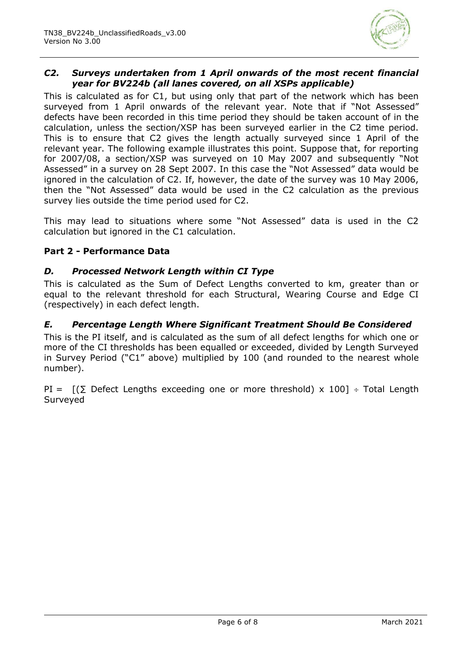

#### *C2. Surveys undertaken from 1 April onwards of the most recent financial year for BV224b (all lanes covered, on all XSPs applicable)*

This is calculated as for C1, but using only that part of the network which has been surveyed from 1 April onwards of the relevant year. Note that if "Not Assessed" defects have been recorded in this time period they should be taken account of in the calculation, unless the section/XSP has been surveyed earlier in the C2 time period. This is to ensure that C2 gives the length actually surveyed since 1 April of the relevant year. The following example illustrates this point. Suppose that, for reporting for 2007/08, a section/XSP was surveyed on 10 May 2007 and subsequently "Not Assessed" in a survey on 28 Sept 2007. In this case the "Not Assessed" data would be ignored in the calculation of C2. If, however, the date of the survey was 10 May 2006, then the "Not Assessed" data would be used in the C2 calculation as the previous survey lies outside the time period used for C2.

This may lead to situations where some "Not Assessed" data is used in the C2 calculation but ignored in the C1 calculation.

#### **Part 2 - Performance Data**

#### *D. Processed Network Length within CI Type*

This is calculated as the Sum of Defect Lengths converted to km, greater than or equal to the relevant threshold for each Structural, Wearing Course and Edge CI (respectively) in each defect length.

#### *E. Percentage Length Where Significant Treatment Should Be Considered*

This is the PI itself, and is calculated as the sum of all defect lengths for which one or more of the CI thresholds has been equalled or exceeded, divided by Length Surveyed in Survey Period ("C1" above) multiplied by 100 (and rounded to the nearest whole number).

PI =  $[(\Sigma \text{ Defect Lengths exceeding one or more threshold}) \times 100] \div \text{Total Length}$ **Surveyed**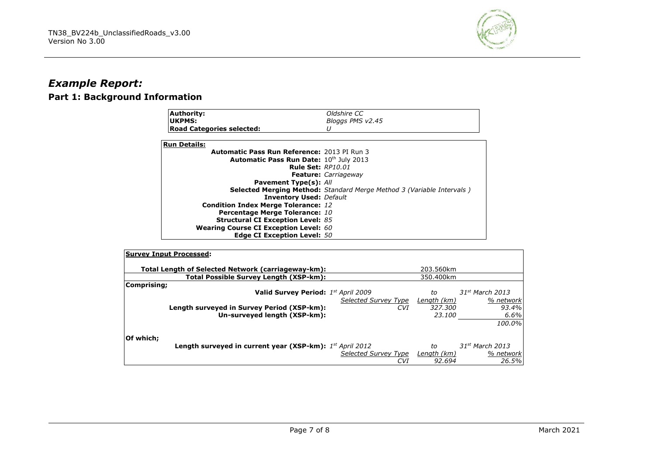

## *Example Report:* **Part 1: Background Information**

| <b>Authority:</b>                                  | Oldshire CC                                                                  |  |  |
|----------------------------------------------------|------------------------------------------------------------------------------|--|--|
| UKPMS:                                             | Bloggs PMS v2.45                                                             |  |  |
| <b>Road Categories selected:</b>                   |                                                                              |  |  |
| <b>Run Details:</b>                                |                                                                              |  |  |
| <b>Automatic Pass Run Reference: 2013 PI Run 3</b> |                                                                              |  |  |
| Automatic Pass Run Date: 10th July 2013            |                                                                              |  |  |
| <b>Rule Set: RP10.01</b>                           |                                                                              |  |  |
|                                                    | <b>Feature:</b> Carriageway                                                  |  |  |
| <b>Pavement Type(s): All</b>                       |                                                                              |  |  |
|                                                    | <b>Selected Merging Method:</b> Standard Merge Method 3 (Variable Intervals) |  |  |
| <b>Inventory Used: Default</b>                     |                                                                              |  |  |
| <b>Condition Index Merge Tolerance: 12</b>         |                                                                              |  |  |
| Percentage Merge Tolerance: 10                     |                                                                              |  |  |
| <b>Structural CI Exception Level: 85</b>           |                                                                              |  |  |
| <b>Wearing Course CI Exception Level: 60</b>       |                                                                              |  |  |
| <b>Edge CI Exception Level: 50</b>                 |                                                                              |  |  |

| <b>Survey Input Processed:</b>                           |                      |             |                   |
|----------------------------------------------------------|----------------------|-------------|-------------------|
| Total Length of Selected Network (carriageway-km):       |                      | 203.560km   |                   |
| Total Possible Survey Length (XSP-km):                   |                      | 350.400km   |                   |
| Comprising;                                              |                      |             |                   |
| Valid Survey Period: 1st April 2009                      |                      | to          | $31st$ March 2013 |
|                                                          | Selected Survey Type | Length (km) | % network         |
| Length surveyed in Survey Period (XSP-km):               | <b>CVI</b>           | 327.300     | 93.4%             |
| Un-surveyed length (XSP-km):                             |                      | 23.100      | 6.6%              |
|                                                          |                      |             | 100.0%            |
|                                                          |                      |             |                   |
| Of which:                                                |                      |             |                   |
| Length surveyed in current year (XSP-km): 1st April 2012 |                      | to          | $31st$ March 2013 |
|                                                          | Selected Survey Type | Length (km) | % network         |
|                                                          | CVI                  | 92.694      | 26.5%             |